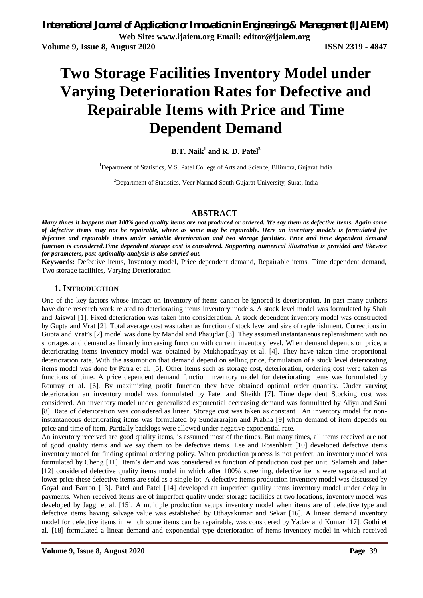# **Two Storage Facilities Inventory Model under Varying Deterioration Rates for Defective and Repairable Items with Price and Time Dependent Demand**

## **B.T. Naik<sup>1</sup> and R. D. Patel<sup>2</sup>**

<sup>1</sup>Department of Statistics, V.S. Patel College of Arts and Science, Bilimora, Gujarat India

<sup>2</sup>Department of Statistics, Veer Narmad South Gujarat University, Surat, India

### **ABSTRACT**

*Many times it happens that 100% good quality items are not produced or ordered. We say them as defective items. Again some of defective items may not be repairable, where as some may be repairable. Here an inventory models is formulated for defective and repairable items under variable deterioration and two storage facilities. Price and time dependent demand function is considered.Time dependent storage cost is considered. Supporting numerical illustration is provided and likewise for parameters, post-optimality analysis is also carried out.*

**Keywords:** Defective items, Inventory model, Price dependent demand, Repairable items, Time dependent demand, Two storage facilities, Varying Deterioration

#### **1. INTRODUCTION**

One of the key factors whose impact on inventory of items cannot be ignored is deterioration. In past many authors have done research work related to deteriorating items inventory models. A stock level model was formulated by Shah and Jaiswal [1]. Fixed deterioration was taken into consideration. A stock dependent inventory model was constructed by Gupta and Vrat [2]. Total average cost was taken as function of stock level and size of replenishment. Corrections in Gupta and Vrat's [2] model was done by Mandal and Phaujdar [3]. They assumed instantaneous replenishment with no shortages and demand as linearly increasing function with current inventory level. When demand depends on price, a deteriorating items inventory model was obtained by Mukhopadhyay et al. [4]. They have taken time proportional deterioration rate. With the assumption that demand depend on selling price, formulation of a stock level deteriorating items model was done by Patra et al. [5]. Other items such as storage cost, deterioration, ordering cost were taken as functions of time. A price dependent demand function inventory model for deteriorating items was formulated by Routray et al. [6]. By maximizing profit function they have obtained optimal order quantity. Under varying deterioration an inventory model was formulated by Patel and Sheikh [7]. Time dependent Stocking cost was considered. An inventory model under generalized exponential decreasing demand was formulated by Aliyu and Sani [8]. Rate of deterioration was considered as linear. Storage cost was taken as constant. An inventory model for noninstantaneous deteriorating items was formulated by Sundararajan and Prabha [9] when demand of item depends on price and time of item. Partially backlogs were allowed under negative exponential rate.

An inventory received are good quality items, is assumed most of the times. But many times, all items received are not of good quality items and we say them to be defective items. Lee and Rosenblatt [10] developed defective items inventory model for finding optimal ordering policy. When production process is not perfect, an inventory model was formulated by Cheng [11]. Item's demand was considered as function of production cost per unit. Salameh and Jaber [12] considered defective quality items model in which after 100% screening, defective items were separated and at lower price these defective items are sold as a single lot. A defective items production inventory model was discussed by Goyal and Barron [13]. Patel and Patel [14] developed an imperfect quality items inventory model under delay in payments. When received items are of imperfect quality under storage facilities at two locations, inventory model was developed by Jaggi et al. [15]. A multiple production setups inventory model when items are of defective type and defective items having salvage value was established by Uthayakumar and Sekar [16]. A linear demand inventory model for defective items in which some items can be repairable, was considered by Yadav and Kumar [17]. Gothi et al. [18] formulated a linear demand and exponential type deterioration of items inventory model in which received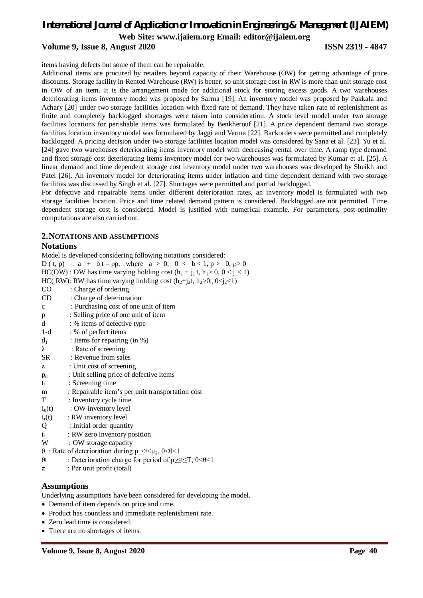#### **Volume 9, Issue 8, August 2020 ISSN 2319 - 4847**

items having defects but some of them can be repairable.

Additional items are procured by retailers beyond capacity of their Warehouse (OW) for getting advantage of price discounts. Storage facility in Rented Warehouse (RW) is better, so unit storage cost in RW is more than unit storage cost in OW of an item. It is the arrangement made for additional stock for storing excess goods. A two warehouses deteriorating items inventory model was proposed by Sarma [19]. An inventory model was proposed by Pakkala and Achary [20] under two storage facilities location with fixed rate of demand. They have taken rate of replenishment as finite and completely backlogged shortages were taken into consideration. A stock level model under two storage facilities locations for perishable items was formulated by Benkherouf [21]. A price dependent demand two storage facilities location inventory model was formulated by Jaggi and Verma [22]. Backorders were permitted and completely backlogged. A pricing decision under two storage facilities location model was considered by Sana et al. [23]. Yu et al. [24] gave two warehouses deteriorating items inventory model with decreasing rental over time. A ramp type demand and fixed storage cost deteriorating items inventory model for two warehouses was formulated by Kumar et al. [25]. A linear demand and time dependent storage cost inventory model under two warehouses was developed by Sheikh and Patel [26]. An inventory model for deteriorating items under inflation and time dependent demand with two storage facilities was discussed by Singh et al. [27]. Shortages were permitted and partial backlogged.

For defective and repairable items under different deterioration rates, an inventory model is formulated with two storage facilities location. Price and time related demand pattern is considered. Backlogged are not permitted. Time dependent storage cost is considered. Model is justified with numerical example. For parameters, post-optimality computations are also carried out.

#### **2.NOTATIONS AND ASSUMPTIONS**

**Notations** Model is developed considering following notations considered:  $D(t, p)$  : a + b t – pp, where a > 0, 0 < b < 1, p > 0, p > 0  $HC(OW)$ : OW has time varying holding cost  $(h_1 + j_1 t, h_1 > 0, 0 < j_1 < 1)$ HC( RW): RW has time varying holding cost  $(h_2+j_2t, h_2>0, 0 \le j_2 \le 1)$ CO : Charge of ordering CD : Charge of deterioration c : Purchasing cost of one unit of item p : Selling price of one unit of item d : % items of defective type 1-d : % of perfect items  $d_1$  : Items for repairing (in %) λ : Rate of screening SR : Revenue from sales z : Unit cost of screening  $p_d$  : Unit selling price of defective items  $t_1$  : Screening time m : Repairable item's per unit transportation cost T : Inventory cycle time  $I_0(t)$  : OW inventory level  $I_r(t)$  : RW inventory level Q : Initial order quantity  $t_r$  : RW zero inventory position W : OW storage capacity θ : Rate of deterioration during  $\mu_1$  < t <  $\mu_2$ , 0 < θ < 1 θt : Deterioration charge for period of  $\mu_2$ ≤t≤T, 0<θ<1  $\pi$  : Per unit profit (total) **Assumptions** Underlying assumptions have been considered for developing the model.

- Demand of item depends on price and time.
- Product has countless and immediate replenishment rate.
- Zero lead time is considered.
- There are no shortages of items.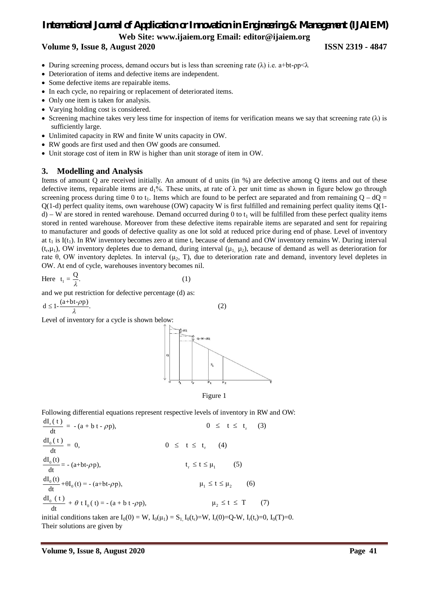# *International Journal of Application or Innovation in Engineering & Management (IJAIEM)*

**Web Site: www.ijaiem.org Email: editor@ijaiem.org**

**Volume 9, Issue 8, August 2020 ISSN 2319 - 4847**

- During screening process, demand occurs but is less than screening rate ( $\lambda$ ) i.e. a+bt-pp< $\lambda$
- Deterioration of items and defective items are independent.
- Some defective items are repairable items.
- In each cycle, no repairing or replacement of deteriorated items.
- Only one item is taken for analysis.
- Varying holding cost is considered.
- Screening machine takes very less time for inspection of items for verification means we say that screening rate  $(\lambda)$  is sufficiently large.
- Unlimited capacity in RW and finite W units capacity in OW.
- RW goods are first used and then OW goods are consumed.
- Unit storage cost of item in RW is higher than unit storage of item in OW.

#### **3. Modelling and Analysis**

Items of amount Q are received initially. An amount of d units (in %) are defective among Q items and out of these defective items, repairable items are  $d_1\%$ . These units, at rate of  $\lambda$  per unit time as shown in figure below go through screening process during time 0 to t<sub>1</sub>. Items which are found to be perfect are separated and from remaining  $Q - dQ =$  $Q(1-d)$  perfect quality items, own warehouse (OW) capacity W is first fulfilled and remaining perfect quality items  $Q(1-d)$ d) – W are stored in rented warehouse. Demand occurred during 0 to  $t_1$  will be fulfilled from these perfect quality items stored in rented warehouse. Moreover from these defective items repairable items are separated and sent for repairing to manufacturer and goods of defective quality as one lot sold at reduced price during end of phase. Level of inventory at  $t_1$  is I(t<sub>1</sub>). In RW inventory becomes zero at time  $t_r$  because of demand and OW inventory remains W. During interval  $(t_r, \mu_1)$ , OW inventory depletes due to demand, during interval  $(\mu_1, \mu_2)$ , because of demand as well as deterioration for rate θ, OW inventory depletes. In interval (μ<sub>2</sub>, T), due to deterioration rate and demand, inventory level depletes in OW. At end of cycle, warehouses inventory becomes nil.

Here 
$$
t_1 = \frac{Q}{\lambda}
$$
. (1)

and we put restriction for defective percentage (d) as:

$$
d \le 1 - \frac{(a+bt-\rho p)}{\lambda}.
$$
 (2)

Level of inventory for a cycle is shown below:





Following differential equations represent respective levels of inventory in RW and OW:

$$
\frac{dI_{0}(t)}{dt} = -(a + b t - \rho p), \qquad 0 \leq t \leq t_{r} \qquad (3)
$$
\n
$$
\frac{dI_{0}(t)}{dt} = 0, \qquad 0 \leq t \leq t_{r} \qquad (4)
$$
\n
$$
\frac{dI_{0}(t)}{dt} = -(a + b t - \rho p), \qquad t_{r} \leq t \leq \mu_{1} \qquad (5)
$$
\n
$$
\frac{dI_{0}(t)}{dt} + \theta I_{0}(t) = -(a + b t - \rho p), \qquad \mu_{1} \leq t \leq \mu_{2} \qquad (6)
$$
\n
$$
\frac{dI_{0}(t)}{dt} + \theta t I_{0}(t) = -(a + b t - \rho p), \qquad \mu_{2} \leq t \leq T \qquad (7)
$$

initial conditions taken are  $I_0(0) = W$ ,  $I_0(\mu_1) = S_1$ ,  $I_0(t_r) = W$ ,  $I_r(0) = Q$ -W,  $I_r(t_r) = 0$ ,  $I_0(T) = 0$ . Their solutions are given by

 $1T$  (  $t$  )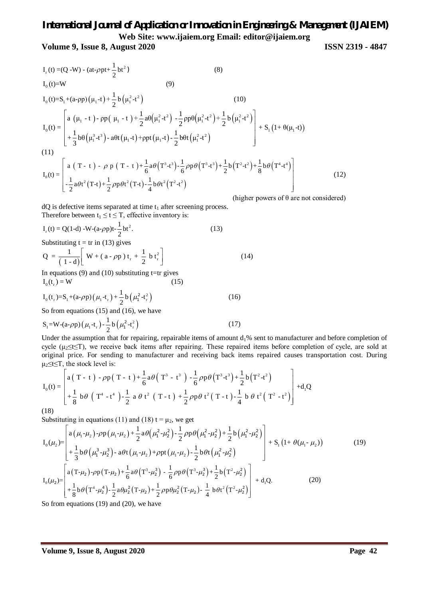**Volume 9, Issue 8, August 2020 ISSN 2319 - 4847**

$$
I_{r}(t) = (Q - W) - (at-\rho pt + \frac{1}{2}bt^{2})
$$
\n(8)  
\n
$$
I_{0}(t) = W
$$
\n(9)  
\n
$$
I_{0}(t) = S_{1} + (a-\rho p)(\mu_{1} - t) + \frac{1}{2}b(\mu_{1}^{2} - t^{2})
$$
\n(10)  
\n
$$
I_{0}(t) = \begin{bmatrix} a(\mu_{1} - t) - \rho p(\mu_{1} - t) + \frac{1}{2}a\theta(\mu_{1}^{2} - t^{2}) - \frac{1}{2}\rho p\theta(\mu_{1}^{2} - t^{2}) + \frac{1}{2}b(\mu_{1}^{2} - t^{2}) \\ + \frac{1}{3}b\theta(\mu_{1}^{3} - t^{3}) - a\theta t(\mu_{1} - t) + \rho pt(\mu_{1} - t) - \frac{1}{2}b\theta t(\mu_{1}^{2} - t^{2}) \end{bmatrix} + S_{1}(1 + \theta(\mu_{1} - t))
$$
\n(11)  
\n
$$
I_{0}(t) = \begin{bmatrix} a(\tau - t) - \rho p(\tau - t) + \frac{1}{6}a\theta(\tau^{3} - t^{3}) - \frac{1}{6}\rho p\theta(\tau^{3} - t^{3}) + \frac{1}{2}b(\tau^{2} - t^{2}) + \frac{1}{8}b\theta(\tau^{4} - t^{4}) \\ -\frac{1}{2}a\theta t^{2}(\tau - t) + \frac{1}{2}\rho p\theta t^{2}(\tau - t) - \frac{1}{4}b\theta t^{2}(\tau^{2} - t^{2}) \end{bmatrix}
$$
\n(12)

(higher powers of  $\theta$  are not considered)

 $dQ$  is defective items separated at time  $t_1$  after screening process. Therefore between  $t_1 \le t \le T$ , effective inventory is:

$$
I_r(t) = Q(1-d) - W - (a-\rho p)t - \frac{1}{2}bt^2.
$$
 (13)

Substituting  $t = \text{tr in (13)}$  gives

$$
Q = \frac{1}{(1-d)} \left[ W + (a - \rho p) t_r + \frac{1}{2} b t_r^2 \right]
$$
\n
$$
In equations (0) and (10) substituting t-tr gives (14)
$$

In equations  $(9)$  and  $(10)$  substituting t=tr gives  $I_0(t_r) = W$  (15)

$$
I_0(t_r) = S_1 + (a - \rho p) (\mu_1 - t_r) + \frac{1}{2} b (\mu_1^2 - t_r^2)
$$
 (16)

So from equations (15) and (16), we have

$$
S_1 = W - (a - \rho p) (\mu_1 - t_r) - \frac{1}{2} b (\mu_1^2 - t_r^2)
$$
 (17)

Under the assumption that for repairing, repairable items of amount  $d_1\%$  sent to manufacturer and before completion of cycle ( $\mu$ <sub>2</sub>t≤T), we receive back items after repairing. These repaired items before completion of cycle, are sold at original price. For sending to manufacturer and receiving back items repaired causes transportation cost. During  $\mu_2 \le t \le T$ , the stock level is:

$$
I_0(t) = \begin{bmatrix} a(T - t) - \rho p (T - t) + \frac{1}{6} a \theta (T^3 - t^3) - \frac{1}{6} \rho p \theta (T^3 - t^3) + \frac{1}{2} b (T^2 - t^2) \\ + \frac{1}{8} b \theta (T^4 - t^4) - \frac{1}{2} a \theta t^2 (T - t) + \frac{1}{2} \rho p \theta t^2 (T - t) - \frac{1}{4} b \theta t^2 (T^2 - t^2) \end{bmatrix} + d_1 Q
$$

(18)

Substituting in equations (11) and (18)  $t = \mu_2$ , we get

$$
I_{0}(\mu_{2}) = \begin{bmatrix} a(\mu_{1} - \mu_{2}) - \rho p(\mu_{1} - \mu_{2}) + \frac{1}{2}a\theta(\mu_{1}^{2} - \mu_{2}^{2}) - \frac{1}{2}\rho p\theta(\mu_{1}^{2} - \mu_{2}^{2}) + \frac{1}{2}b(\mu_{1}^{2} - \mu_{2}^{2}) \\ + \frac{1}{3}b\theta(\mu_{1}^{3} - \mu_{2}^{3}) - a\theta t(\mu_{1} - \mu_{2}) + \rho pt(\mu_{1} - \mu_{2}) - \frac{1}{2}b\theta t(\mu_{1}^{2} - \mu_{2}^{2}) \\ + S_{1}(1 + \theta(\mu_{1} - \mu_{2})) \end{bmatrix} + S_{1}(1 + \theta(\mu_{1} - \mu_{2})) \qquad (19)
$$
\n
$$
I_{0}(\mu_{2}) = \begin{bmatrix} a(T - \mu_{2}) - \rho p(T - \mu_{2}) + \frac{1}{6}a\theta(T^{3} - \mu_{2}^{3}) - \frac{1}{6}\rho p\theta(T^{3} - \mu_{2}^{3}) + \frac{1}{2}b(T^{2} - \mu_{2}^{2}) \\ + \frac{1}{8}b\theta(T^{4} - \mu_{2}^{4}) - \frac{1}{2}a\theta\mu_{2}^{2}(T - \mu_{2}) + \frac{1}{2}\rho p\theta\mu_{2}^{2}(T - \mu_{2}) - \frac{1}{4}b\theta t^{2}(T^{2} - \mu_{2}^{2}) \end{bmatrix} + d_{1}Q. \qquad (20)
$$

So from equations (19) and (20), we have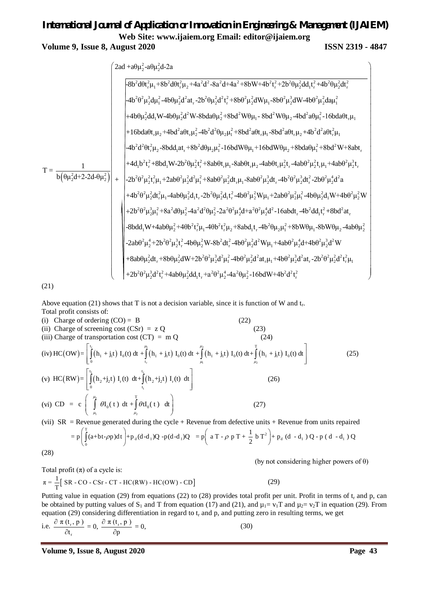## *International Journal of Application or Innovation in Engineering & Management (IJAIEM)* **Web Site: www.ijaiem.org Email: editor@ijaiem.org Volume 9, Issue 8, August 2020 ISSN 2319 - 4847**

$$
T = \frac{1}{b(\theta\mu_2^2d+2a^2\mu_2^2d+\mu_1^2+2b^2\theta\mu_2^2d^2t_1^2+8ab\mu_2^2d^2t_1^2+8b\theta^2\mu_2^2d^2t_1^2+8b\theta^2\mu_2^2d^2t_1^2+8b\theta^2\mu_2^2d^2t_1^2+4b^2\theta\mu_2^2d^2t_1^2+4b^2\theta\mu_2^2d^2t_1^2+8b\theta^2\mu_2^2dW\mu_1-8b\theta^2\mu_2^2dW\mu_2-4b\theta^2\mu_2^2d\mu_1^2-16b\theta^2\mu_1^2d\mu_1^2+4b\theta\mu_2^2d^2W\mu_1^2+8b\theta^2\mu_1^2dW\mu_1-8b\theta^2W\theta\mu_2-4b\theta^2a\theta\mu_1^2-16b\theta a\theta t_1\mu_1+16b\theta a\theta t_1\mu_2+4b\theta^2a^2\theta t_1^2\mu_2-8b\theta^2\theta^2\mu_1^2+8b\theta^2a\theta^2\mu_1^2+16b\theta^2\theta^2\mu_1^2+8b\theta^2a\theta^2\mu_1^2+8b\theta^2a\theta^2\mu_1^2+8b\theta^2a\theta^2\mu_1^2+8b\theta^2a\theta^2\mu_1^2+8b\theta^2a\theta^2\mu_1^2+8b\theta^2a\theta^2\mu_1^2\mu_1+4ab\theta^2\mu_1^2\mu_1+4b\theta^2\mu_1^2\mu_1+2ab\theta^2\mu_2^2t_1^2\mu_1+4ab\theta^2\mu_1^2\mu_1+2ab\theta^2\mu_2^2t_1^2\mu_1+4ab\theta^2\mu_1^2\mu_1^2+8b\theta^2\mu_1^2\mu_1^2+8b\theta^2\mu_1^2\mu_1^2+8b\theta^2\mu_1^2\mu_1^2+8b\theta^2\mu_1^2\mu_1^2+8b\theta^2\mu_1^2\mu_1^2+8b\theta
$$

Above equation (21) shows that T is not a decision variable, since it is function of W and  $t_r$ . Total profit consists of:

(i) Charge of ordering  $(CO) = B$  (22) (ii) Charge of screening cost  $(CSr) = z Q$  (23) (iii) Charge of transportation cost  $(CT) = m Q$  (24) (iv)  $HC(OW) = \int_{0}^{t_1} (h_1 + j_1t) I_0(t) dt + \int_{0}^{\mu_1} (h_1 + j_1t) I_0(t) dt + \int_{0}^{\mu_2} (h_1 + j_1t) I_0(t) dt + \int_{0}^{t_1} (h_1 + j_1t) I_0(t) dt$  $\mu_1$   $\mu_2$  $\mu_1$   $\mu_2$  T  $\int_{t_1}^{t_1}$  (1<sup>1</sup> 1  $\int_{t_1}^{t_2}$  1  $\int_{t_2}^{t_1}$  (1<sup>1</sup> 1  $\int_{t_1}^{t_1}$  1  $\int_{t_2}^{t_1}$  1  $\int_{t_1}^{t_2}$  1  $\int_{t_1}^{t_1}$  1  $\int_{t_2}^{t_1}$  1  $\int_{t_1}^{t_2}$  1  $\int_{t_2}^{t_1}$  1  $\int_{t_1}^{t_1}$  1  $\int_{t_2}^{t_1}$  1  $\int_{t$  $HC(OW) = \int (h_1 + j_1 t) I_0(t) dt + (h_1 + j_1 t) I_0(t) dt + (h_1 + j_1 t) I_0(t) dt + (h_1 + j_1 t) I_0(t) dt$  $\mu_1$   $\mu_2$  $\mu_1$   $\mu_2$  $\begin{bmatrix} t_1 & t_2 & \cdots & t_{n-1} & t_{n-1} & \cdots & t_{n-1} & \cdots & t_{n-1} & \cdots & t_{n-1} & \cdots & t_{n-1} & \cdots & t_{n-1} & \cdots & t_{n-1} & \cdots & t_{n-1} & \cdots & t_{n-1} & \cdots & t_{n-1} & \cdots & t_{n-1} & \cdots & t_{n-1} & \cdots & t_{n-1} & \cdots & t_{n-1} & \cdots & t_{n-1} & \cdots & t_{n-1} & \cdots & t_{n-1} & \cdots & t_{n-1} & \$  $\left[\int_{0}^{1}(h_1 + j_1t) I_0(t) dt + \int_{t_1}^{1}(h_1 + j_1t) I_0(t) dt + \int_{\mu_1}^{1}(h_1 + j_1t) I_0(t) dt + \int_{\mu_2}^{1}(h_1 + j_1t) I_0(t) dt\right]$  (25) (v)  $HC(RW) = \int_{0}^{t_1} (h_2 + j_2 t) I_r(t) dt + \int_{0}^{t_2} (h_2 + j_2 t)$ 1 2 <sup>1</sup> J<sub>2</sub>**t** J  $\bf{1}_r$  (*t*) at 1  $\bf{1}_r$  ( $\bf{1}_2$   $\bf{1}_2$   $\bf{1}_2$   $\bf{1}_r$  $0 \qquad \qquad t_1$  $HC(RW) = \int_{0}^{t_1} (h_2 + j_2 t) I_r(t) dt + \int_{0}^{t_2} (h_2 + j_2 t) I_r(t) dt$  $\left[\int_{0}^{t} (h_2 + j_2 t) I_r(t) dt + \int_{t_1}^{t} (h_2 + j_2 t) I_r(t) dt \right]$  (26) (vi) CD = c  $\int_{0}^{\frac{\mu_{2}}{2}}$  $\mu_2$ T  $CD = c \int_0^{\frac{\mu_2}{2}} \theta I_0(t) dt + \int_0^T \theta t I_0(t) dt$  $\mu_1$   $\mu_2$  $\begin{pmatrix} \mu_2 \\ \int dI_0(t) dt + \int dI_0(t) dt \end{pmatrix}$  $\left(\int_{\mu_1} \theta I_0(t) dt + \int_{\mu_2} \theta t I_0(t) dt\right)$  (27)

(vii)  $SR =$  Revenue generated during the cycle + Revenue from defective units + Revenue from units repaired

$$
=p\left(\int_{0}^{T}(a+bt-\rho p)dt\right)+p_{d}(d-d_{1})Q-p(d-d_{1})Q = p\left(aT-\rho p T+\frac{1}{2}bT^{2}\right)+p_{d}(d-d_{1})Q-p(d-d_{1})Q
$$

(28)

(by not considering higher powers of θ)

(29)

Total profit (
$$
\pi
$$
) of a cycle is:  
\n
$$
\pi = \frac{1}{T} \left[ SR - CO - CSr - CT - HC(RW) - HC(OW) - CD \right]
$$

Putting value in equation (29) from equations (22) to (28) provides total profit per unit. Profit in terms of  $t_r$  and p, can be obtained by putting values of S<sub>1</sub> and T from equation (17) and (21), and  $\mu_1 = v_1T$  and  $\mu_2 = v_2T$  in equation (29). From equation (29) considering differentiation in regard to  $t_r$  and p, and putting zero in resulting terms, we get

i.e. 
$$
\frac{\partial \pi(t_r, p)}{\partial t_r} = 0
$$
,  $\frac{\partial \pi(t_r, p)}{\partial p} = 0$ , (30)

**Volume 9, Issue 8, August 2020 Page 43**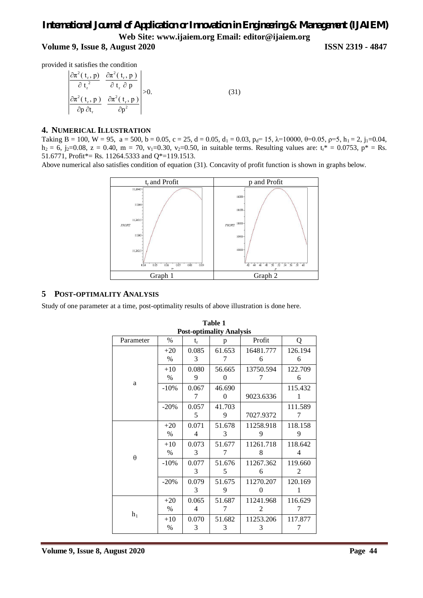# *International Journal of Application or Innovation in Engineering & Management (IJAIEM)* **Web Site: www.ijaiem.org Email: editor@ijaiem.org Volume 9, Issue 8, August 2020 ISSN 2319 - 4847**

provided it satisfies the condition

$$
\begin{vmatrix}\n\frac{\partial \pi^2(t_r, p)}{\partial t_r^2} & \frac{\partial \pi^2(t_r, p)}{\partial t_r \partial p} \\
\frac{\partial \pi^2(t_r, p)}{\partial p \partial t_r} & \frac{\partial \pi^2(t_r, p)}{\partial p^2}\n\end{vmatrix} > 0.
$$
\n(31)

### **4. NUMERICAL ILLUSTRATION**

Taking B = 100, W = 95, a = 500, b = 0.05, c = 25, d = 0.05, d<sub>1</sub> = 0.03, p<sub>d</sub>= 15,  $\lambda$ =10000,  $\theta$ =0.05,  $\rho$ =5, h<sub>1</sub> = 2, j<sub>1</sub>=0.04,  $h_2 = 6$ , j<sub>2</sub>=0.08, z = 0.40, m = 70, v<sub>1</sub>=0.30, v<sub>2</sub>=0.50, in suitable terms. Resulting values are: t<sub>r</sub>\* = 0.0753, p\* = Rs. 51.6771, Profit\*= Rs. 11264.5333 and Q\*=119.1513.

Above numerical also satisfies condition of equation (31). Concavity of profit function is shown in graphs below.



#### **5 POST-OPTIMALITY ANALYSIS**

Study of one parameter at a time, post-optimality results of above illustration is done here.

| <b>Post-optimality Analysis</b> |        |       |        |                |         |  |  |  |  |
|---------------------------------|--------|-------|--------|----------------|---------|--|--|--|--|
| Parameter                       | $\%$   | $t_r$ | p      | Profit         | Q       |  |  |  |  |
| a                               | $+20$  | 0.085 | 61.653 | 16481.777      | 126.194 |  |  |  |  |
|                                 | $\%$   | 3     | 7      | 6              | 6       |  |  |  |  |
|                                 | $+10$  | 0.080 | 56.665 | 13750.594      | 122.709 |  |  |  |  |
|                                 | $\%$   | 9     | 0      | 7              | 6       |  |  |  |  |
|                                 | $-10%$ | 0.067 | 46.690 |                | 115.432 |  |  |  |  |
|                                 |        | 7     | 0      | 9023.6336      | 1       |  |  |  |  |
|                                 | $-20%$ | 0.057 | 41.703 |                | 111.589 |  |  |  |  |
|                                 |        | 5     | 9      | 7027.9372      | 7       |  |  |  |  |
| $\theta$                        | $+20$  | 0.071 | 51.678 | 11258.918      | 118.158 |  |  |  |  |
|                                 | $\%$   | 4     | 3      | 9              | 9       |  |  |  |  |
|                                 | $+10$  | 0.073 | 51.677 | 11261.718      | 118.642 |  |  |  |  |
|                                 | $\%$   | 3     | 7      | 8              | 4       |  |  |  |  |
|                                 | $-10%$ | 0.077 | 51.676 | 11267.362      | 119.660 |  |  |  |  |
|                                 |        | 3     | 5      | 6              | 2       |  |  |  |  |
|                                 | $-20%$ | 0.079 | 51.675 | 11270.207      | 120.169 |  |  |  |  |
|                                 |        | 3     | 9      | $\overline{0}$ | 1       |  |  |  |  |
| $h_1$                           | $+20$  | 0.065 | 51.687 | 11241.968      | 116.629 |  |  |  |  |
|                                 | $\%$   | 4     | 7      | 2              | 7       |  |  |  |  |
|                                 | $+10$  | 0.070 | 51.682 | 11253.206      | 117.877 |  |  |  |  |
|                                 | %      | 3     | 3      | 3              | 7       |  |  |  |  |

# **Table 1**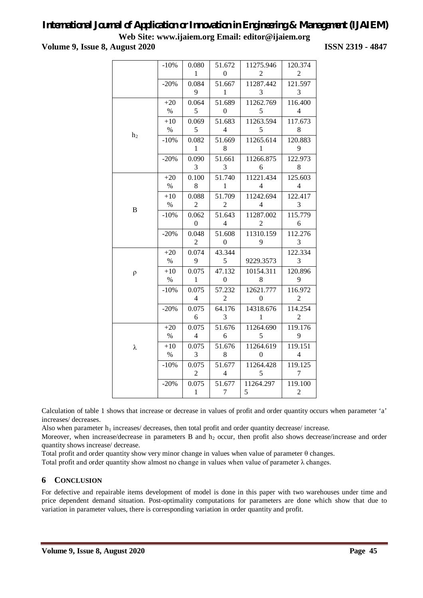**Volume 9, Issue 8, August 2020 ISSN 2319 - 4847**

|                     | $-10%$ | 0.080            | 51.672           | 11275.946        | 120.374        |
|---------------------|--------|------------------|------------------|------------------|----------------|
|                     |        | $\mathbf{1}$     | $\boldsymbol{0}$ | 2                | $\overline{2}$ |
|                     | $-20%$ | 0.084            | 51.667           | 11287.442        | 121.597        |
|                     |        | 9                | $\mathbf{1}$     | 3                | 3              |
| h <sub>2</sub><br>B | $+20$  | 0.064            | 51.689           | 11262.769        | 116.400        |
|                     | $\%$   | 5                | $\boldsymbol{0}$ | 5                | $\overline{4}$ |
|                     | $+10$  | 0.069            | 51.683           | 11263.594        | 117.673        |
|                     | $\%$   | 5                | $\overline{4}$   | 5                | 8              |
|                     | $-10%$ | 0.082            | 51.669           | 11265.614        | 120.883        |
|                     |        | $\mathbf{1}$     | 8                | 1                | 9              |
|                     | $-20%$ | 0.090            | 51.661           | 11266.875        | 122.973        |
|                     |        | 3                | 3                | 6                | 8              |
|                     | $+20$  | 0.100            | 51.740           | 11221.434        | 125.603        |
|                     | $\%$   | 8                | 1                | 4                | 4              |
|                     | $+10$  | 0.088            | 51.709           | 11242.694        | 122.417        |
|                     | %      | $\overline{c}$   | 2                | 4                | 3              |
|                     | $-10%$ | 0.062            | 51.643           | 11287.002        | 115.779        |
|                     |        | $\boldsymbol{0}$ | $\overline{4}$   | $\overline{c}$   | 6              |
|                     | $-20%$ | 0.048            | 51.608           | 11310.159        | 112.276        |
|                     |        | $\overline{c}$   | $\boldsymbol{0}$ | 9                | 3              |
| $\rho$              | $+20$  | 0.074            | 43.344           |                  | 122.334        |
|                     | $\%$   | 9                | 5                | 9229.3573        | 3              |
|                     | $+10$  | 0.075            | 47.132           | 10154.311        | 120.896        |
|                     | $\%$   | $\,1\,$          | $\boldsymbol{0}$ | $\,$ 8 $\,$      | 9              |
|                     | $-10%$ | 0.075            | 57.232           | 12621.777        | 116.972        |
|                     |        | $\overline{4}$   | $\overline{2}$   | $\boldsymbol{0}$ | $\overline{2}$ |
|                     | $-20%$ | 0.075            | 64.176           | 14318.676        | 114.254        |
|                     |        | 6                | 3                | 1                | $\overline{2}$ |
| λ                   | $+20$  | 0.075            | 51.676           | 11264.690        | 119.176        |
|                     | $\%$   | $\overline{4}$   | 6                | 5                | 9              |
|                     | $+10$  | 0.075            | 51.676           | 11264.619        | 119.151        |
|                     | $\%$   | 3                | 8                | $\theta$         | $\overline{4}$ |
|                     | $-10%$ | 0.075            | 51.677           | 11264.428        | 119.125        |
|                     |        | $\overline{c}$   | $\overline{4}$   | 5                | 7              |
|                     | $-20%$ | 0.075            | 51.677           | 11264.297        | 119.100        |
|                     |        | $\,1$            | $\boldsymbol{7}$ | 5                | $\overline{2}$ |

Calculation of table 1 shows that increase or decrease in values of profit and order quantity occurs when parameter 'a' increases/ decreases.

Also when parameter  $h_1$  increases/ decreases, then total profit and order quantity decrease/ increase.

Moreover, when increase/decrease in parameters B and  $h_2$  occur, then profit also shows decrease/increase and order quantity shows increase/ decrease.

Total profit and order quantity show very minor change in values when value of parameter θ changes.

Total profit and order quantity show almost no change in values when value of parameter  $\lambda$  changes.

### **6 CONCLUSION**

For defective and repairable items development of model is done in this paper with two warehouses under time and price dependent demand situation. Post-optimality computations for parameters are done which show that due to variation in parameter values, there is corresponding variation in order quantity and profit.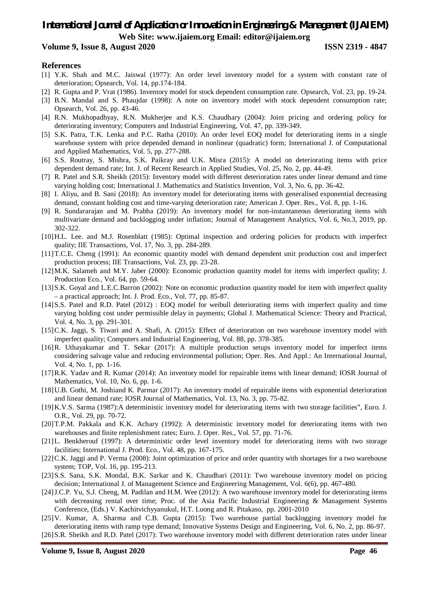#### **Volume 9, Issue 8, August 2020 ISSN 2319 - 4847**

#### **References**

- [1] Y.K. Shah and M.C. Jaiswal (1977): An order level inventory model for a system with constant rate of deterioration; Opsearch, Vol. 14, pp.174-184.
- [2] R. Gupta and P. Vrat (1986). Inventory model for stock dependent consumption rate. Opsearch, Vol. 23, pp. 19-24.
- [3] B.N. Mandal and S. Phaujdar (1998): A note on inventory model with stock dependent consumption rate; Opsearch, Vol. 26, pp. 43-46.
- [4] R.N. Mukhopadhyay, R.N. Mukherjee and K.S. Chaudhary (2004): Joint pricing and ordering policy for deteriorating inventory; Computers and Industrial Engineering, Vol. 47, pp. 339-349.
- [5] S.K. Patra, T.K. Lenka and P.C. Ratha (2010): An order level EOQ model for deteriorating items in a single warehouse system with price depended demand in nonlinear (quadratic) form; International J. of Computational and Applied Mathematics, Vol. 5, pp. 277-288.
- [6] S.S. Routray, S. Mishra, S.K. Paikray and U.K. Misra (2015): A model on deteriorating items with price dependent demand rate; Int. J. of Recent Research in Applied Studies, Vol. 25, No. 2, pp. 44-49.
- [7] R. Patel and S.R. Sheikh (2015): Inventory model with different deterioration rates under linear demand and time varying holding cost; International J. Mathematics and Statistics Invention, Vol. 3, No. 6, pp. 36-42.
- [8] I. Aliyu, and B. Sani (2018): An inventory model for deteriorating items with generalised exponential decreasing demand, constant holding cost and time-varying deterioration rate; American J. Oper. Res., Vol. 8, pp. 1-16.
- [9] R. Sundararajan and M. Prabha (2019): An inventory model for non-instantaneous deteriorating items with multivariate demand and backlogging under inflation; Journal of Management Analytics, Vol. 6, No.3, 2019, pp. 302-322.
- [10]H.L. Lee. and M.J. Rosenblatt (1985): Optimal inspection and ordering policies for products with imperfect quality; IIE Transactions, Vol. 17, No. 3, pp. 284-289.
- [11]T.C.E. Cheng (1991): An economic quantity model with demand dependent unit production cost and imperfect production process; IIE Transactions, Vol. 23, pp. 23-28.
- [12]M.K. Salameh and M.Y. Jaber (2000): Economic production quantity model for items with imperfect quality; J. Production Eco., Vol. 64, pp. 59-64.
- [13]S.K. Goyal and L.E.C.Barron (2002): Note on economic production quantity model for item with imperfect quality – a practical approach; Int. J. Prod. Eco., Vol. 77, pp. 85-87.
- [14]S.S. Patel and R.D. Patel (2012) : EOQ model for weibull deteriorating items with imperfect quality and time varying holding cost under permissible delay in payments; Global J. Mathematical Science: Theory and Practical, Vol. 4, No. 3, pp. 291-301.
- [15]C.K. Jaggi, S. Tiwari and A. Shafi, A. (2015): Effect of deterioration on two warehouse inventory model with imperfect quality; Computers and Industrial Engineering, Vol. 88, pp. 378-385.
- [16]R. Uthayakumar and T. Sekar (2017): A multiple production setups inventory model for imperfect items considering salvage value and reducing environmental pollution; Oper. Res. And Appl.: An International Journal, Vol. 4, No. 1, pp. 1-16.
- [17]R.K. Yadav and R. Kumar (2014): An inventory model for repairable items with linear demand; IOSR Journal of Mathematics, Vol. 10, No. 6, pp. 1-6.
- [18]U.B. Gothi, M. Joshiand K. Parmar (2017): An inventory model of repairable items with exponential deterioration and linear demand rate; IOSR Journal of Mathematics, Vol. 13, No. 3, pp. 75-82.
- [19]K.V.S. Sarma (1987):A deterministic inventory model for deteriorating items with two storage facilities", Euro. J. O.R., Vol. 29, pp. 70-72.
- [20]T.P.M. Pakkala and K.K. Achary (1992): A deterministic inventory model for deteriorating items with two warehouses and finite replenishment rates; Euro. J. Oper. Res., Vol. 57, pp. 71-76.
- [21]L. Benkherouf (1997): A deterministic order level inventory model for deteriorating items with two storage facilities; International J. Prod. Eco., Vol. 48, pp. 167-175.
- [22]C.K. Jaggi and P. Verma (2008): Joint optimization of price and order quantity with shortages for a two warehouse system; TOP, Vol. 16, pp. 195-213.
- [23]S.S. Sana, S.K. Mondal, B.K. Sarkar and K. Chaudhari (2011): Two warehouse inventory model on pricing decision; International J. of Management Science and Engineering Management, Vol. 6(6), pp. 467-480.
- [24]J.C.P. Yu, S.J. Cheng, M. Padilan and H.M. Wee (2012): A two warehouse inventory model for deteriorating items with decreasing rental over time; Proc. of the Asia Pacific Industrial Engineering & Management Systems Conference, (Eds.) V. Kachitvichyyanukul, H.T. Luong and R. Pitakaso, pp. 2001-2010
- [25]V. Kumar, A. Sharma and C.B. Gupta (2015): Two warehouse partial backlogging inventory model for deteriorating items with ramp type demand; Innovative Systems Design and Engineering, Vol. 6, No. 2, pp. 86-97.

[26]S.R. Sheikh and R.D. Patel (2017): Two warehouse inventory model with different deterioration rates under linear